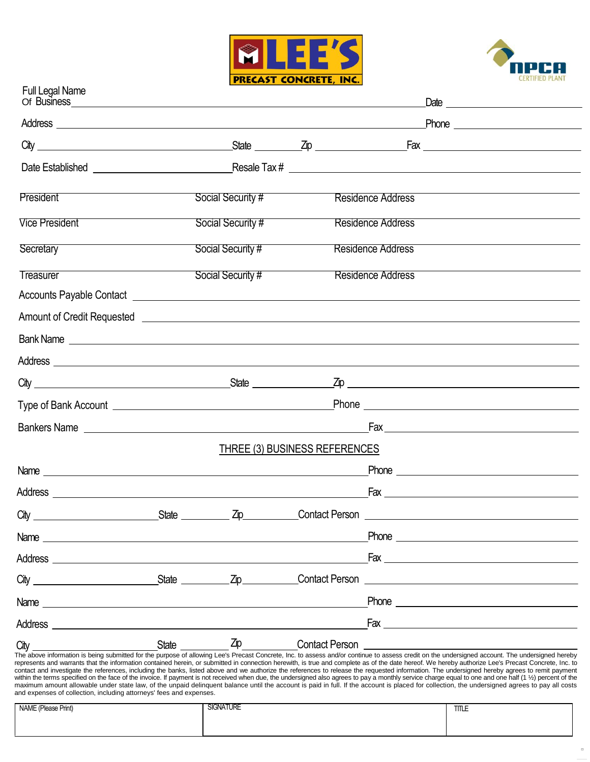



| Full Legal Name                                                     |       |                   |                               |                          |                                                                                                                                                                                                                                                                                                                                                                                                                                                                                                                                                                                                                                                                                                                                                                                                                     |
|---------------------------------------------------------------------|-------|-------------------|-------------------------------|--------------------------|---------------------------------------------------------------------------------------------------------------------------------------------------------------------------------------------------------------------------------------------------------------------------------------------------------------------------------------------------------------------------------------------------------------------------------------------------------------------------------------------------------------------------------------------------------------------------------------------------------------------------------------------------------------------------------------------------------------------------------------------------------------------------------------------------------------------|
|                                                                     |       |                   |                               |                          |                                                                                                                                                                                                                                                                                                                                                                                                                                                                                                                                                                                                                                                                                                                                                                                                                     |
|                                                                     |       |                   |                               |                          |                                                                                                                                                                                                                                                                                                                                                                                                                                                                                                                                                                                                                                                                                                                                                                                                                     |
|                                                                     |       |                   |                               |                          |                                                                                                                                                                                                                                                                                                                                                                                                                                                                                                                                                                                                                                                                                                                                                                                                                     |
| President                                                           |       | Social Security # |                               | <b>Residence Address</b> |                                                                                                                                                                                                                                                                                                                                                                                                                                                                                                                                                                                                                                                                                                                                                                                                                     |
| <b>Vice President</b>                                               |       | Social Security # |                               | <b>Residence Address</b> |                                                                                                                                                                                                                                                                                                                                                                                                                                                                                                                                                                                                                                                                                                                                                                                                                     |
| Secretary                                                           |       | Social Security # |                               | <b>Residence Address</b> |                                                                                                                                                                                                                                                                                                                                                                                                                                                                                                                                                                                                                                                                                                                                                                                                                     |
| Treasurer                                                           |       | Social Security # |                               | <b>Residence Address</b> |                                                                                                                                                                                                                                                                                                                                                                                                                                                                                                                                                                                                                                                                                                                                                                                                                     |
|                                                                     |       |                   |                               |                          |                                                                                                                                                                                                                                                                                                                                                                                                                                                                                                                                                                                                                                                                                                                                                                                                                     |
|                                                                     |       |                   |                               |                          |                                                                                                                                                                                                                                                                                                                                                                                                                                                                                                                                                                                                                                                                                                                                                                                                                     |
|                                                                     |       |                   |                               |                          | Bank Name experience and the contract of the contract of the contract of the contract of the contract of the contract of the contract of the contract of the contract of the contract of the contract of the contract of the c                                                                                                                                                                                                                                                                                                                                                                                                                                                                                                                                                                                      |
|                                                                     |       |                   |                               |                          |                                                                                                                                                                                                                                                                                                                                                                                                                                                                                                                                                                                                                                                                                                                                                                                                                     |
|                                                                     |       |                   |                               |                          |                                                                                                                                                                                                                                                                                                                                                                                                                                                                                                                                                                                                                                                                                                                                                                                                                     |
|                                                                     |       |                   |                               |                          |                                                                                                                                                                                                                                                                                                                                                                                                                                                                                                                                                                                                                                                                                                                                                                                                                     |
|                                                                     |       |                   |                               |                          |                                                                                                                                                                                                                                                                                                                                                                                                                                                                                                                                                                                                                                                                                                                                                                                                                     |
|                                                                     |       |                   | THREE (3) BUSINESS REFERENCES |                          |                                                                                                                                                                                                                                                                                                                                                                                                                                                                                                                                                                                                                                                                                                                                                                                                                     |
|                                                                     |       |                   |                               |                          | Phone <u>______________________________</u>                                                                                                                                                                                                                                                                                                                                                                                                                                                                                                                                                                                                                                                                                                                                                                         |
|                                                                     |       |                   |                               |                          | $\mathsf{Fax}$ $\_\_$                                                                                                                                                                                                                                                                                                                                                                                                                                                                                                                                                                                                                                                                                                                                                                                               |
| City                                                                | State | Zip               | <b>Contact Person</b>         |                          |                                                                                                                                                                                                                                                                                                                                                                                                                                                                                                                                                                                                                                                                                                                                                                                                                     |
| Name                                                                |       |                   |                               | Phone                    |                                                                                                                                                                                                                                                                                                                                                                                                                                                                                                                                                                                                                                                                                                                                                                                                                     |
| Address<br><u> 1989 - Johann Barn, fransk politik (d. 1989)</u>     |       |                   |                               |                          |                                                                                                                                                                                                                                                                                                                                                                                                                                                                                                                                                                                                                                                                                                                                                                                                                     |
| City                                                                |       | <u>State Zip</u>  | Contact Person                |                          | <u> 1989 - Andrea Andrew Maria (h. 1989).</u>                                                                                                                                                                                                                                                                                                                                                                                                                                                                                                                                                                                                                                                                                                                                                                       |
| Name                                                                |       |                   |                               |                          |                                                                                                                                                                                                                                                                                                                                                                                                                                                                                                                                                                                                                                                                                                                                                                                                                     |
| Address                                                             |       |                   |                               |                          | $Fax \nightharpoonup$                                                                                                                                                                                                                                                                                                                                                                                                                                                                                                                                                                                                                                                                                                                                                                                               |
| City                                                                | State | Zip               | <b>Contact Person</b>         |                          | The above information is being submitted for the purpose of allowing Lee's Precast Concrete, Inc. to assess and/or continue to assess credit on the undersigned account. The undersigned hereby                                                                                                                                                                                                                                                                                                                                                                                                                                                                                                                                                                                                                     |
| and expenses of collection, including attorneys' fees and expenses. |       |                   |                               |                          | represents and warrants that the information contained herein, or submitted in connection herewith, is true and complete as of the date hereof. We hereby authorize Lee's Precast Concrete, Inc. to<br>contact and investigate the references, including the banks, listed above and we authorize the references to release the requested information. The undersigned hereby agrees to remit payment<br>within the terms specified on the face of the invoice. If payment is not received when due, the undersigned also agrees to pay a monthly service charge equal to one and one half (1 1/2) percent of the<br>maximum amount allowable under state law, of the unpaid delinquent balance until the account is paid in full. If the account is placed for collection, the undersigned agrees to pay all costs |
| NAME (Please Print)                                                 |       | <b>SIGNATURE</b>  |                               |                          | TITLE                                                                                                                                                                                                                                                                                                                                                                                                                                                                                                                                                                                                                                                                                                                                                                                                               |